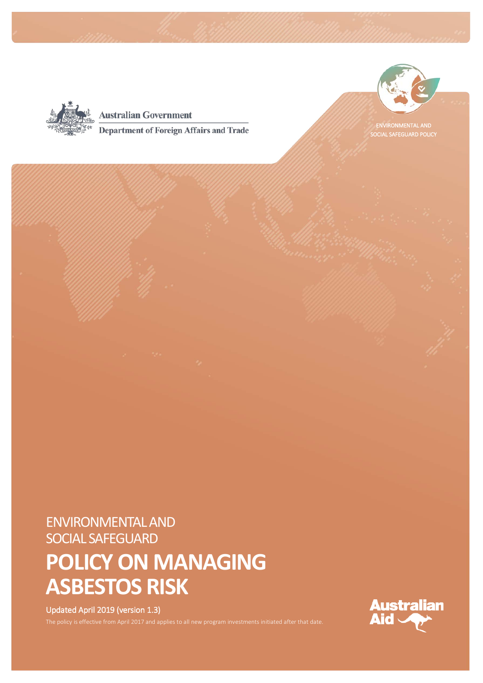

**Australian Government Department of Foreign Affairs and Trade** 



ENVIRONMENTAL AND SOCIAL SAFEGUARD POLICY

# ENVIRONMENTAL AND SOCIAL SAFEGUARD

# **POLICY ON MANAGING ASBESTOS RISK**

#### Updated April 2019 (version 1.3)

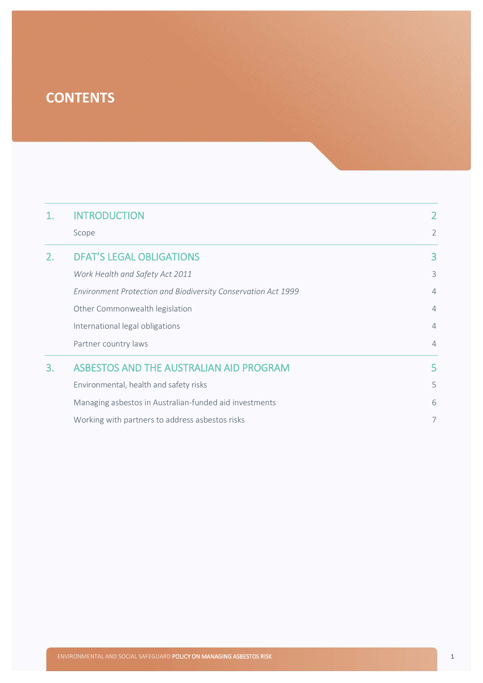# **CONTENTS**

| 1. | <b>INTRODUCTION</b>                                           | 2              |
|----|---------------------------------------------------------------|----------------|
|    | Scope                                                         | $\overline{2}$ |
| 2. | <b>DFAT'S LEGAL OBLIGATIONS</b>                               | 3              |
|    | Work Health and Safety Act 2011                               | 3              |
|    | Environment Protection and Biodiversity Conservation Act 1999 | $\overline{4}$ |
|    | Other Commonwealth legislation                                | $\overline{4}$ |
|    | International legal obligations                               | $\overline{4}$ |
|    | Partner country laws                                          | $\overline{4}$ |
| 3. | ASBESTOS AND THE AUSTRALIAN AID PROGRAM                       | 5              |
|    | Environmental, health and safety risks                        | 5              |
|    | Managing asbestos in Australian-funded aid investments        | 6              |
|    | Working with partners to address asbestos risks               | 7              |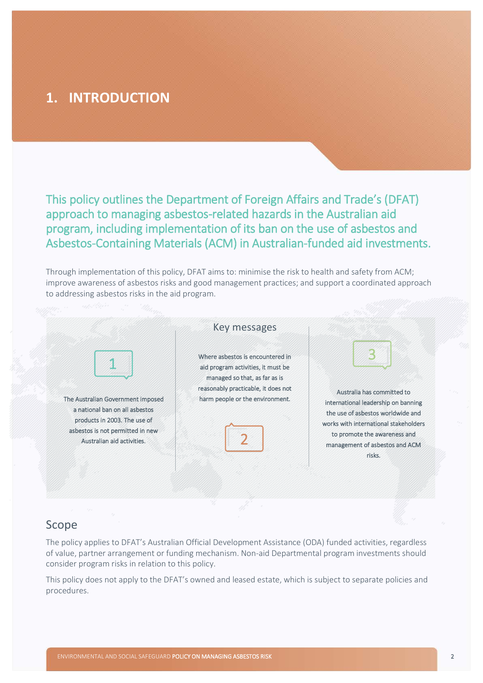## <span id="page-2-0"></span>**1. INTRODUCTION**

This policy outlines the Department of Foreign Affairs and Trade's (DFAT) approach to managing asbestos-related hazards in the Australian aid program, including implementation of its ban on the use of asbestos and Asbestos-Containing Materials (ACM) in Australian-funded aid investments.

Through implementation of this policy, DFAT aims to: minimise the risk to health and safety from ACM; improve awareness of asbestos risks and good management practices; and support a coordinated approach to addressing asbestos risks in the aid program.



#### <span id="page-2-1"></span>Scope

The policy applies to DFAT's Australian Official Development Assistance (ODA) funded activities, regardless of value, partner arrangement or funding mechanism. Non-aid Departmental program investments should consider program risks in relation to this policy.

This policy does not apply to the DFAT's owned and leased estate, which is subject to separate policies and procedures.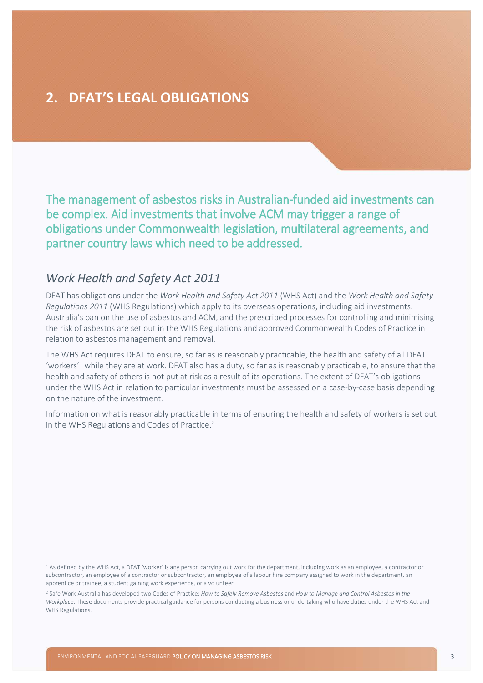## <span id="page-3-0"></span>**2. DFAT'S LEGAL OBLIGATIONS**

The management of asbestos risks in Australian-funded aid investments can be complex. Aid investments that involve ACM may trigger a range of obligations under Commonwealth legislation, multilateral agreements, and partner country laws which need to be addressed.

#### <span id="page-3-1"></span>*Work Health and Safety Act 2011*

DFAT has obligations under the *Work Health and Safety Act 2011* (WHS Act) and the *Work Health and Safety Regulations 2011* (WHS Regulations) which apply to its overseas operations, including aid investments. Australia's ban on the use of asbestos and ACM, and the prescribed processes for controlling and minimising the risk of asbestos are set out in the WHS Regulations and approved Commonwealth Codes of Practice in relation to asbestos management and removal.

The WHS Act requires DFAT to ensure, so far as is reasonably practicable, the health and safety of all DFAT 'workers'<sup>[1](#page-3-2)</sup> while they are at work. DFAT also has a duty, so far as is reasonably practicable, to ensure that the health and safety of others is not put at risk as a result of its operations. The extent of DFAT's obligations under the WHS Act in relation to particular investments must be assessed on a case-by-case basis depending on the nature of the investment.

Information on what is reasonably practicable in terms of ensuring the health and safety of workers is set out in the WHS Regulations and Codes of Practice.<sup>[2](#page-3-3)</sup>

<span id="page-3-2"></span><sup>1</sup> As defined by the WHS Act, a DFAT 'worker' is any person carrying out work for the department, including work as an employee, a contractor or subcontractor, an employee of a contractor or subcontractor, an employee of a labour hire company assigned to work in the department, an apprentice or trainee, a student gaining work experience, or a volunteer.

<span id="page-3-3"></span><sup>2</sup> Safe Work Australia has developed two Codes of Practice: *How to Safely Remove Asbestos* and *How to Manage and Control Asbestos in the Workplace.* These documents provide practical guidance for persons conducting a business or undertaking who have duties under the WHS Act and WHS Regulations.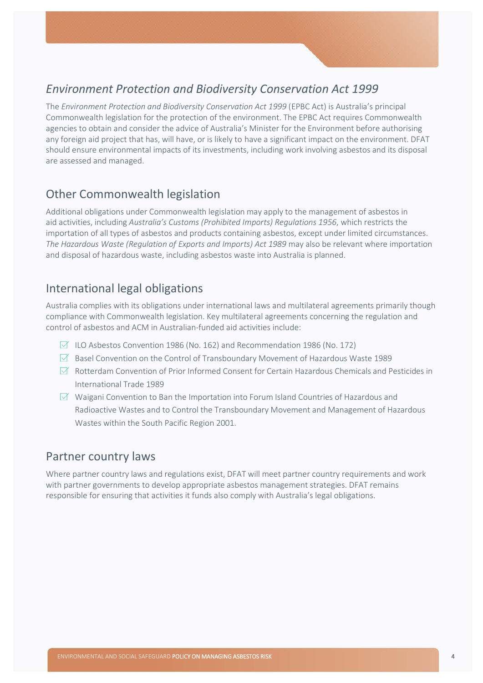### <span id="page-4-0"></span>*Environment Protection and Biodiversity Conservation Act 1999*

The *Environment Protection and Biodiversity Conservation Act 1999* (EPBC Act) is Australia's principal Commonwealth legislation for the protection of the environment. The EPBC Act requires Commonwealth agencies to obtain and consider the advice of Australia's Minister for the Environment before authorising any foreign aid project that has, will have, or is likely to have a significant impact on the environment. DFAT should ensure environmental impacts of its investments, including work involving asbestos and its disposal are assessed and managed.

#### <span id="page-4-1"></span>Other Commonwealth legislation

Additional obligations under Commonwealth legislation may apply to the management of asbestos in aid activities, including *Australia's Customs (Prohibited Imports) Regulations 1956*, which restricts the importation of all types of asbestos and products containing asbestos, except under limited circumstances. *The Hazardous Waste (Regulation of Exports and Imports) Act 1989* may also be relevant where importation and disposal of hazardous waste, including asbestos waste into Australia is planned.

#### <span id="page-4-2"></span>International legal obligations

Australia complies with its obligations under international laws and multilateral agreements primarily though compliance with Commonwealth legislation. Key multilateral agreements concerning the regulation and control of asbestos and ACM in Australian-funded aid activities include:

- $\triangledown$  ILO Asbestos Convention 1986 (No. 162) and Recommendation 1986 (No. 172)
- $\boxtimes$  Basel Convention on the Control of Transboundary Movement of Hazardous Waste 1989
- $\triangledown$  Rotterdam Convention of Prior Informed Consent for Certain Hazardous Chemicals and Pesticides in International Trade 1989
- $\boxtimes$  Waigani Convention to Ban the Importation into Forum Island Countries of Hazardous and Radioactive Wastes and to Control the Transboundary Movement and Management of Hazardous Wastes within the South Pacific Region 2001.

#### <span id="page-4-3"></span>Partner country laws

Where partner country laws and regulations exist, DFAT will meet partner country requirements and work with partner governments to develop appropriate asbestos management strategies. DFAT remains responsible for ensuring that activities it funds also comply with Australia's legal obligations.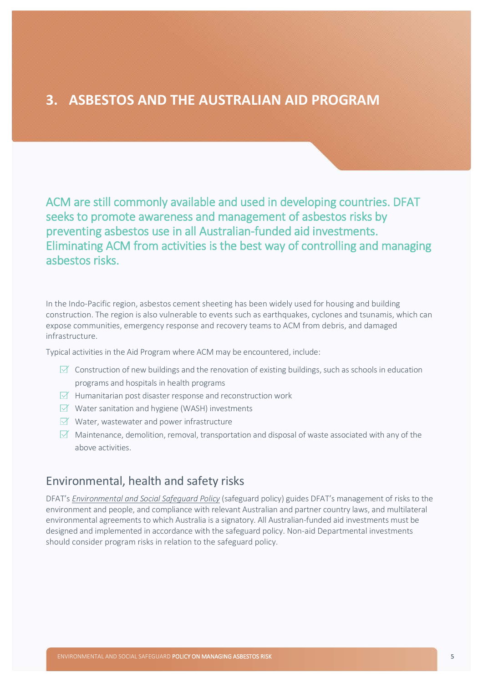#### <span id="page-5-0"></span>**3. ASBESTOS AND THE AUSTRALIAN AID PROGRAM**

ACM are still commonly available and used in developing countries. DFAT seeks to promote awareness and management of asbestos risks by preventing asbestos use in all Australian-funded aid investments. Eliminating ACM from activities is the best way of controlling and managing asbestos risks.

In the Indo-Pacific region, asbestos cement sheeting has been widely used for housing and building construction. The region is also vulnerable to events such as earthquakes, cyclones and tsunamis, which can expose communities, emergency response and recovery teams to ACM from debris, and damaged infrastructure.

Typical activities in the Aid Program where ACM may be encountered, include:

- $\boxtimes$  Construction of new buildings and the renovation of existing buildings, such as schools in education programs and hospitals in health programs
- $\triangledown$  Humanitarian post disaster response and reconstruction work
- $\triangledown$  Water sanitation and hygiene (WASH) investments
- $\forall$  Water, wastewater and power infrastructure
- $\boxtimes$  Maintenance, demolition, removal, transportation and disposal of waste associated with any of the above activities.

#### <span id="page-5-1"></span>Environmental, health and safety risks

DFAT's *[Environmental and Social Safeguard Policy](https://dfat.gov.au/about-us/publications/Pages/environmental-social-safeguard-policy.aspx)* (safeguard policy) guides DFAT's management of risks to the environment and people, and compliance with relevant Australian and partner country laws, and multilateral environmental agreements to which Australia is a signatory. All Australian-funded aid investments must be designed and implemented in accordance with the safeguard policy. Non-aid Departmental investments should consider program risks in relation to the safeguard policy.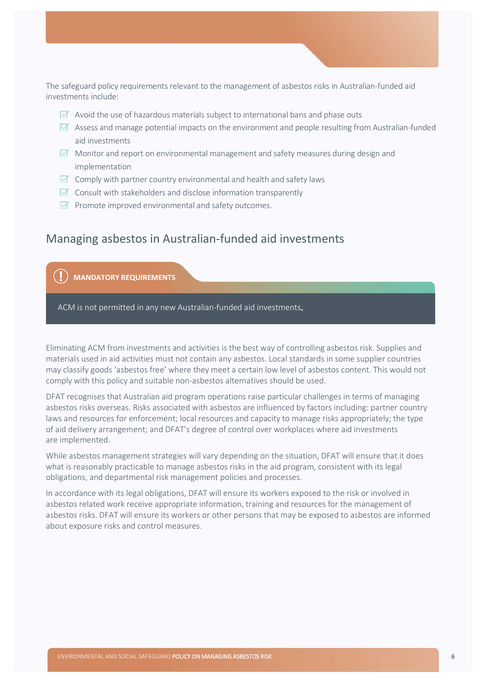The safeguard policy requirements relevant to the management of asbestos risks in Australian-funded aid investments include:

- $\boxtimes$  Avoid the use of hazardous materials subject to international bans and phase outs
- $\boxtimes$  Assess and manage potential impacts on the environment and people resulting from Australian-funded aid investments
- $\boxtimes$  Monitor and report on environmental management and safety measures during design and implementation
- $\boxtimes$  Comply with partner country environmental and health and safety laws
- $\triangledown$  Consult with stakeholders and disclose information transparently
- $\triangleright$  Promote improved environmental and safety outcomes.

#### <span id="page-6-0"></span>Managing asbestos in Australian-funded aid investments

**MANDATORY REQUIREMENTS**

ACM is not permitted in any new Australian-funded aid investments

Eliminating ACM from investments and activities is the best way of controlling asbestos risk. Supplies and materials used in aid activities must not contain any asbestos. Local standards in some supplier countries may classify goods 'asbestos free' where they meet a certain low level of asbestos content. This would not comply with this policy and suitable non-asbestos alternatives should be used.

DFAT recognises that Australian aid program operations raise particular challenges in terms of managing asbestos risks overseas. Risks associated with asbestos are influenced by factors including: partner country laws and resources for enforcement; local resources and capacity to manage risks appropriately; the type of aid delivery arrangement; and DFAT's degree of control over workplaces where aid investments are implemented.

While asbestos management strategies will vary depending on the situation, DFAT will ensure that it does what is reasonably practicable to manage asbestos risks in the aid program, consistent with its legal obligations, and departmental risk management policies and processes.

In accordance with its legal obligations, DFAT will ensure its workers exposed to the risk or involved in asbestos related work receive appropriate information, training and resources for the management of asbestos risks. DFAT will ensure its workers or other persons that may be exposed to asbestos are informed about exposure risks and control measures.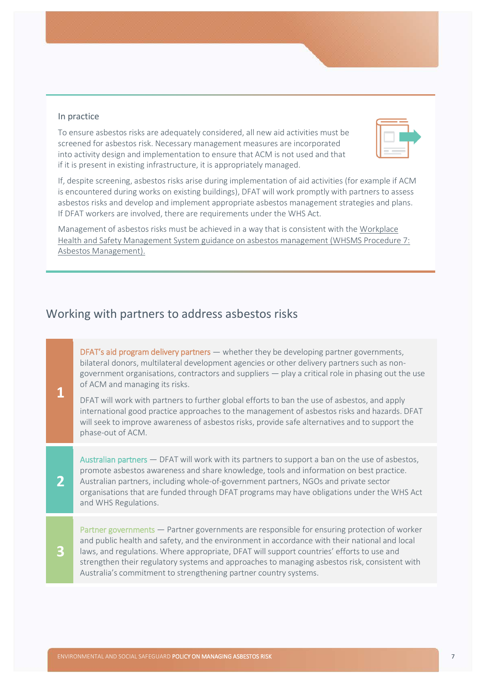#### In practice

To ensure asbestos risks are adequately considered, all new aid activities must be screened for asbestos risk. Necessary management measures are incorporated into activity design and implementation to ensure that ACM is not used and that if it is present in existing infrastructure, it is appropriately managed.



If, despite screening, asbestos risks arise during implementation of aid activities (for example if ACM is encountered during works on existing buildings), DFAT will work promptly with partners to assess asbestos risks and develop and implement appropriate asbestos management strategies and plans. If DFAT workers are involved, there are requirements under the WHS Act.

Management of asbestos risks must be achieved in a way that is consistent with th[e Workplace](http://dfatintranet.titan.satin.lo/human-resources/work-health-safety-management-system/Documents/WHSMS%20SOP%207%20-%20Asbestos%20Management.pdf)  [Health and Safety Management System guidance on asbestos management \(WHSMS Procedure 7:](http://dfatintranet.titan.satin.lo/human-resources/work-health-safety-management-system/Documents/WHSMS%20SOP%207%20-%20Asbestos%20Management.pdf)  [Asbestos Management\).](http://dfatintranet.titan.satin.lo/human-resources/work-health-safety-management-system/Documents/WHSMS%20SOP%207%20-%20Asbestos%20Management.pdf)

#### <span id="page-7-0"></span>Working with partners to address asbestos risks

DFAT's aid program delivery partners — whether they be developing partner governments, bilateral donors, multilateral development agencies or other delivery partners such as nongovernment organisations, contractors and suppliers — play a critical role in phasing out the use of ACM and managing its risks.

DFAT will work with partners to further global efforts to ban the use of asbestos, and apply international good practice approaches to the management of asbestos risks and hazards. DFAT will seek to improve awareness of asbestos risks, provide safe alternatives and to support the phase-out of ACM.

Australian partners — DFAT will work with its partners to support a ban on the use of asbestos, promote asbestos awareness and share knowledge, tools and information on best practice. Australian partners, including whole-of-government partners, NGOs and private sector organisations that are funded through DFAT programs may have obligations under the WHS Act and WHS Regulations.

**3**

**2**

**1**

Partner governments — Partner governments are responsible for ensuring protection of worker and public health and safety, and the environment in accordance with their national and local laws, and regulations. Where appropriate, DFAT will support countries' efforts to use and strengthen their regulatory systems and approaches to managing asbestos risk, consistent with Australia's commitment to strengthening partner country systems.